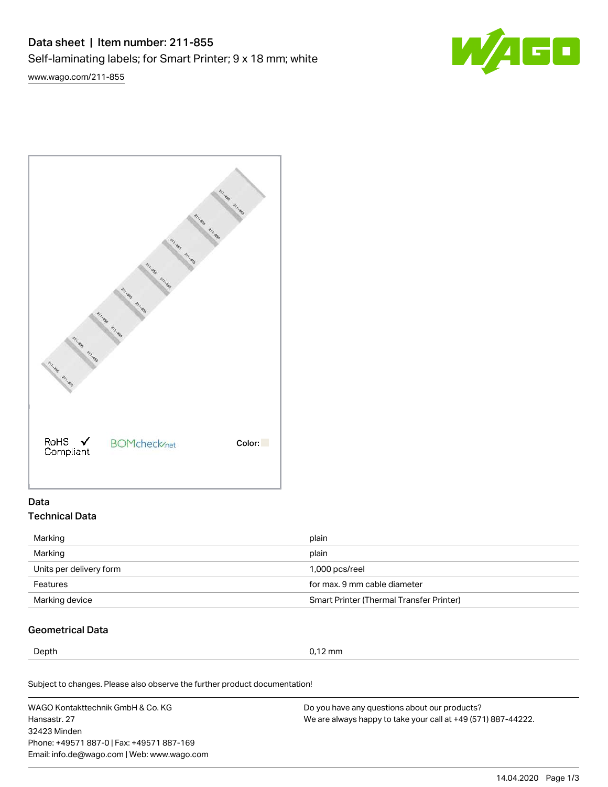# Data sheet | Item number: 211-855 Self-laminating labels; for Smart Printer; 9 x 18 mm; white

[www.wago.com/211-855](http://www.wago.com/211-855)





## Data Technical Data

| Marking                 | plain                                           |  |
|-------------------------|-------------------------------------------------|--|
| Marking                 | plain                                           |  |
| Units per delivery form | 1,000 pcs/reel                                  |  |
| Features                | for max. 9 mm cable diameter                    |  |
| Marking device          | <b>Smart Printer (Thermal Transfer Printer)</b> |  |

# Geometrical Data

Depth 0,12 mm

Subject to changes. Please also observe the further product documentation!

WAGO Kontakttechnik GmbH & Co. KG Hansastr. 27 32423 Minden Phone: +49571 887-0 | Fax: +49571 887-169 Email: info.de@wago.com | Web: www.wago.com

Do you have any questions about our products? We are always happy to take your call at +49 (571) 887-44222.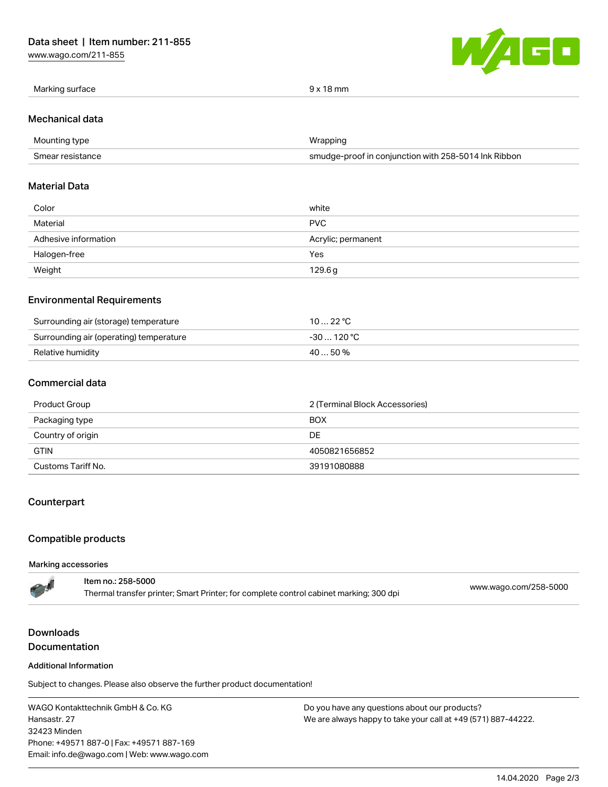[www.wago.com/211-855](http://www.wago.com/211-855)



|  | Marking surface | $9 \times 18$ mm |
|--|-----------------|------------------|
|--|-----------------|------------------|

#### Mechanical data

| Mounting type    | Wrapping                                             |  |
|------------------|------------------------------------------------------|--|
| Smear resistance | smudge-proof in conjunction with 258-5014 Ink Ribbon |  |

## Material Data

| Color                | white              |
|----------------------|--------------------|
| Material             | <b>PVC</b>         |
| Adhesive information | Acrylic; permanent |
| Halogen-free         | Yes                |
| Weight               | 129.6g             |

## Environmental Requirements

| Surrounding air (storage) temperature   | 10 … 22 °C  |
|-----------------------------------------|-------------|
| Surrounding air (operating) temperature | -30  120 °C |
| Relative humidity                       | 40  50 %    |

## Commercial data

| Product Group      | 2 (Terminal Block Accessories) |  |
|--------------------|--------------------------------|--|
| Packaging type     | <b>BOX</b>                     |  |
| Country of origin  | DE                             |  |
| <b>GTIN</b>        | 4050821656852                  |  |
| Customs Tariff No. | 39191080888                    |  |

## **Counterpart**

## Compatible products

#### Marking accessories

ı

| المحم | Item no.: 258-5000<br>Thermal transfer printer; Smart Printer; for complete control cabinet marking; 300 dpi | www.wago.com/258-5000 |
|-------|--------------------------------------------------------------------------------------------------------------|-----------------------|
|       |                                                                                                              |                       |

# Downloads **Documentation**

#### Additional Information

Subject to changes. Please also observe the further product documentation!

WAGO Kontakttechnik GmbH & Co. KG Hansastr. 27 32423 Minden Phone: +49571 887-0 | Fax: +49571 887-169 Email: info.de@wago.com | Web: www.wago.com

Do you have any questions about our products? We are always happy to take your call at +49 (571) 887-44222.